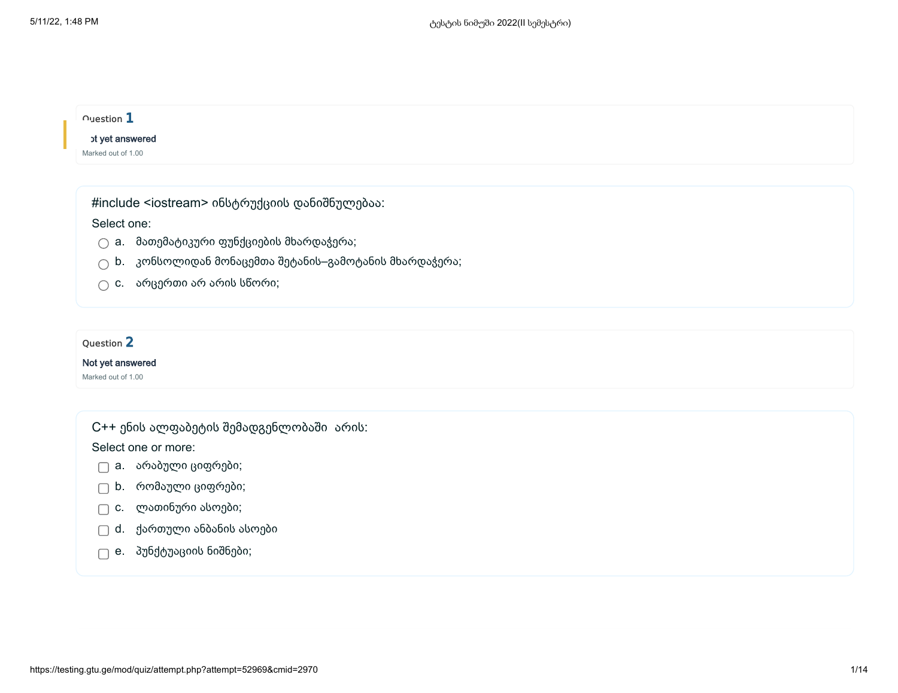| $\cap$ uestion $\mathbf 1$                   |  |  |  |
|----------------------------------------------|--|--|--|
| <b>of yet answered</b><br>Marked out of 1.00 |  |  |  |
|                                              |  |  |  |

#include <iostream> ინსტრუქციის დანიშნულებაა:

Select one:

 $\bigcirc$  a. მათემატიკური ფუნქციების მხარდაჭერა;

- $\bigcirc$  b. კონსოლიდან მონაცემთა შეტანის–გამოტანის მხარდაჭერა;
- $\bigcap$  c. არცერთი არ არის სწორი;

## Question 2

### Not yet answered

Marked out of 1.00

C++ ენის ალფაბეტის შემადგენლობაში არის:

Select one or more:

- a. არაბული ციფრები;
- b. რომაული ციფრები;
- c. ლათინური ასოები;
- d. ქართული ანბანის ასოები
- e. პუნქტუაციის ნიშნები;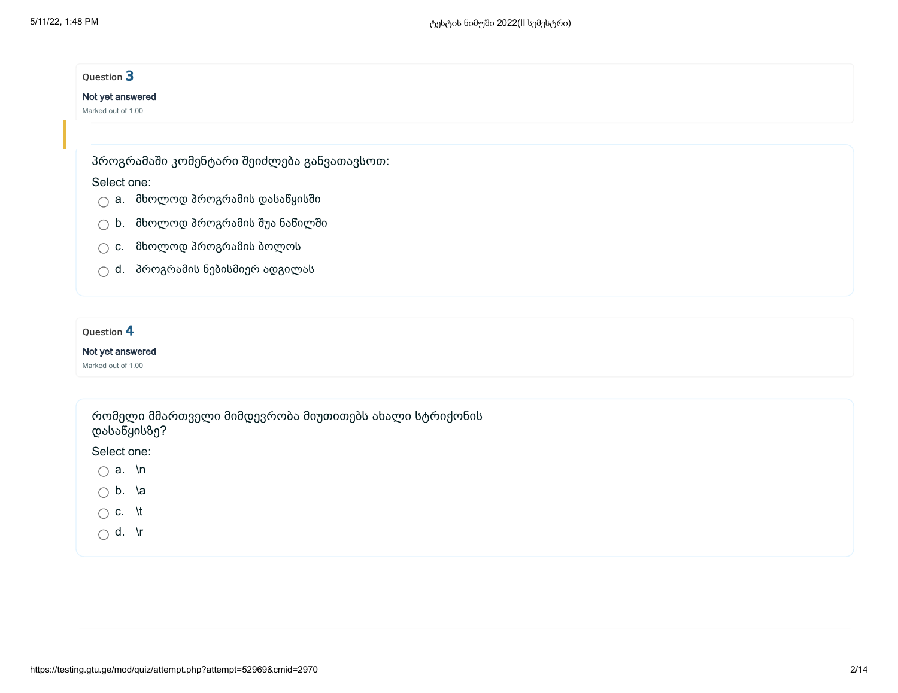## Question 3

### Not yet answered

Marked out of 1.00

პროგრამაში კომენტარი შეიძლება განვათავსოთ:

### Select one:

- $\bigcirc$  a. მხოლოდ პროგრამის დასაწყისში
- b. მხოლოდ პროგრამის შუა ნაწილში
- $\bigcirc$  c. მხოლოდ პროგრამის ბოლოს
- $\bigcirc$  d. პროგრამის ნებისმიერ ადგილას

### Ouestion 4

#### Not yet answered

Marked out of 1.00

რომელი მმართველი მიმდევრობა მიუთითებს ახალი სტრიქონის დასაწყისზე?

Select one:

- $\bigcirc$  a. \n
- $\bigcirc$  b. \a
- $\bigcirc$  c. \t
- $\bigcap$  d. \r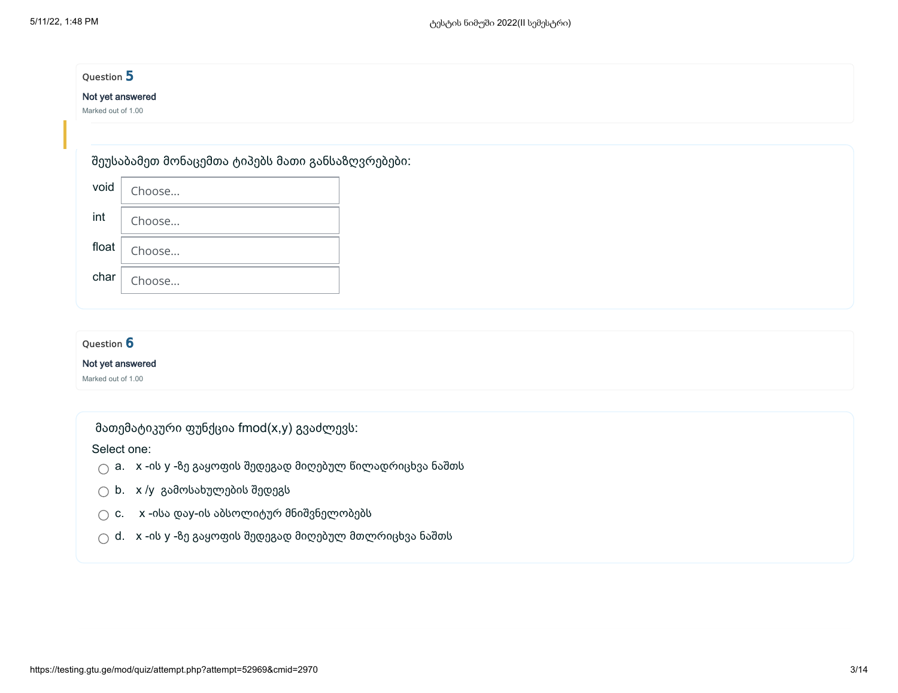### Question 5

### Not yet answered

Marked out of 1.00

### შეუსაბამეთ მონაცემთა ტიპებს მათი განსაზღვრებები:

| void      | Choose |
|-----------|--------|
| int       | Choose |
| float $ $ | Choose |
| char      | Choose |

## Question 6 Not yet answered Marked out of 1.00

მათემატიკური ფუნქცია fmod(x,y) გვაძლევს:

Select one:

 $\bigcirc$  a. x -ის y -ზე გაყოფის შედეგად მიღებულ წილადრიცხვა ნაშთს

- $\bigcirc$  b. x/y გამოსახულების შედეგს
- $\bigcirc$  c.  $\quad$  x -ისა დაy-ის აბსოლიტურ მნიშვნელობებს
- $\bigcirc$  d. x -ის y -ზე გაყოფის შედეგად მიღებულ მთლრიცხვა ნაშთს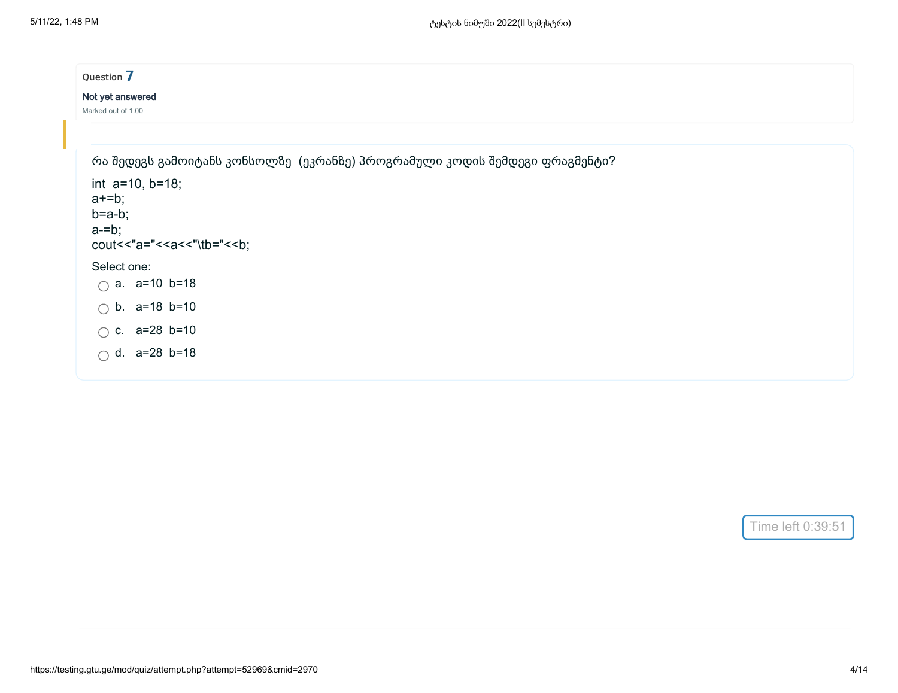| Question 7                                                                 |
|----------------------------------------------------------------------------|
| Not yet answered                                                           |
| Marked out of 1.00                                                         |
|                                                                            |
| რა შედეგს გამოიტანს კონსოლზე (ეკრანზე) პროგრამული კოდის შემდეგი ფრაგმენტი? |
| int $a=10$ , $b=18$ ;                                                      |
| $a+=b;$<br>$b = a - b$ ;                                                   |
| $a = b$ ;                                                                  |
| cout<<"a="< <a<<"\tb="<<br></a<<"\tb="<<br> b;                             |
| Select one:                                                                |
| $\bigcap$ a. a=10 b=18                                                     |
| $\bigcirc$ b. a=18 b=10                                                    |
| $\bigcap$ c. a=28 b=10                                                     |
| $\bigcirc$ d. a=28 b=18                                                    |
|                                                                            |

Time left 0:39:51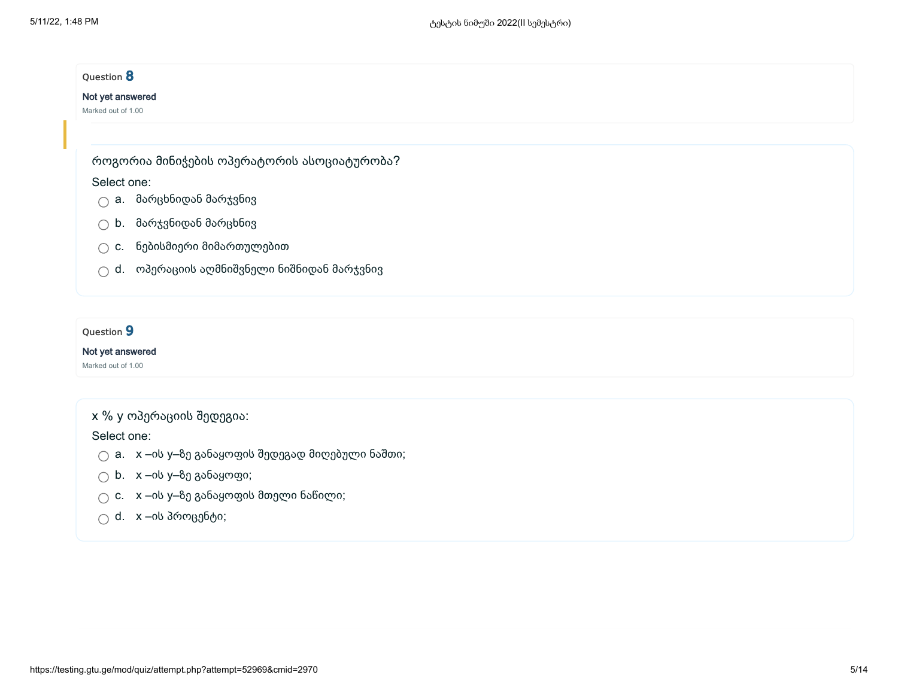| Question 8         |                                            |
|--------------------|--------------------------------------------|
| Not yet answered   |                                            |
| Marked out of 1.00 |                                            |
|                    |                                            |
|                    | როგორია მინიჭების ოპერატორის ასოციატურობა? |
| Select one:        |                                            |
|                    | $\bigcirc$ a. მარცხნიდან მარჯვნივ          |
|                    | $\bigcirc$ b. მარჯვნიდან მარცხნივ          |
| $\bigcirc$ c.      | ნებისმიერი მიმართულებით                    |
| $\bigcap$          | d. ოპერაციის აღმნიშვნელი ნიშნიდან მარჯვნივ |

## Question 9

### Not yet answered

Marked out of 1.00

## x % y ოპერაციის შედეგია:

Select one:

- $\bigcirc$  a.  $x$  –ის y–ზე განაყოფის შედეგად მიღებული ნაშთი;
- $\bigcirc$  b. x –ის y– $8$ ე განაყოფი;
- $\bigcirc$  c.  $x$  –ის y– $8$ ე განაყოფის მთელი ნაწილი;
- $\bigcirc$  d. x –ის პროცენტი;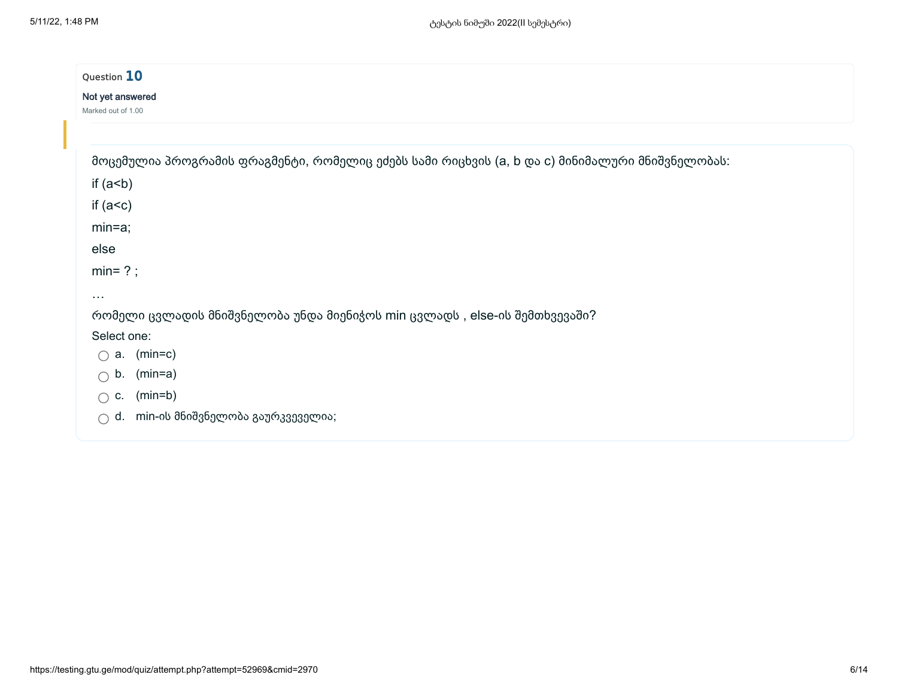| Question 10                                                                                    |
|------------------------------------------------------------------------------------------------|
| Not yet answered<br>Marked out of 1.00                                                         |
|                                                                                                |
| მოცემულია პროგრამის ფრაგმენტი, რომელიც ეძებს სამი რიცხვის (a, b და c) მინიმალური მნიშვნელობას: |
| if $(a< b)$                                                                                    |
| if $(a < c)$                                                                                   |
| $min=a;$                                                                                       |
| else                                                                                           |
| $min= ?$ ;                                                                                     |
| $\cdots$                                                                                       |
| რომელი ცვლადის მნიშვნელობა უნდა მიენიჭოს min ცვლადს , else-ის შემთხვევაში?                     |
| Select one:                                                                                    |
| $(min=c)$<br>а.<br>∩                                                                           |
| b.<br>$(min=a)$<br>$\bigcap$                                                                   |
| $(min=b)$<br>C.<br>∩                                                                           |
| d. min-ის მნიშვნელობა გაურკვეველია;<br>◯                                                       |
|                                                                                                |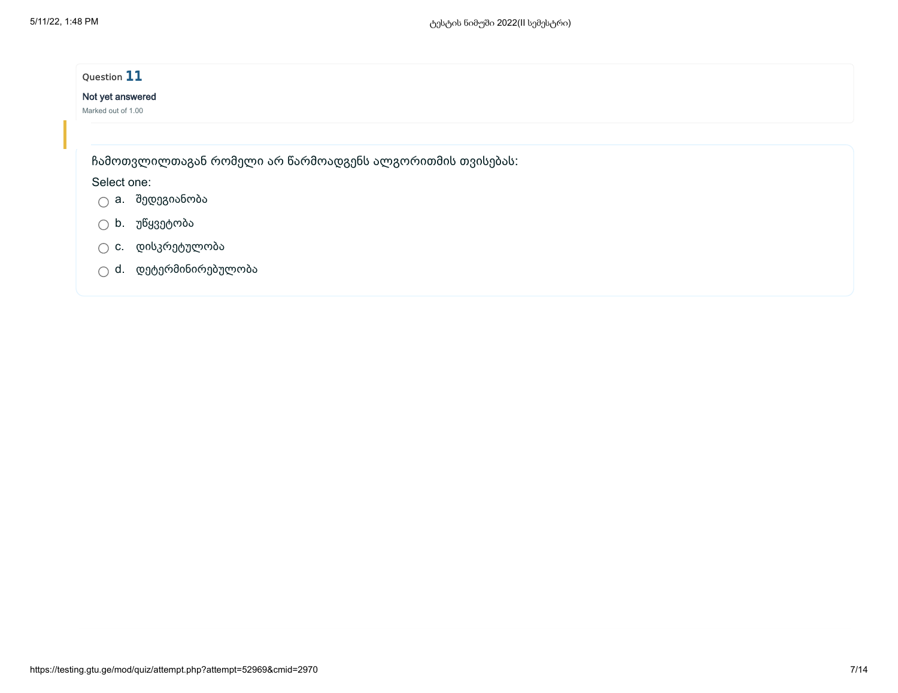| Question 11        |                                                           |  |
|--------------------|-----------------------------------------------------------|--|
| Not yet answered   |                                                           |  |
| Marked out of 1.00 |                                                           |  |
|                    |                                                           |  |
|                    | ჩამოთვლილთაგან რომელი არ წარმოადგენს ალგორითმის თვისებას: |  |
| Select one:        |                                                           |  |
| ∩                  | a. შედეგიანობა                                            |  |
| ∩                  | b. უწყვეტობა                                              |  |
| ∩                  | c. დისკრეტულობა                                           |  |
|                    | d. დეტერმინირებულობა                                      |  |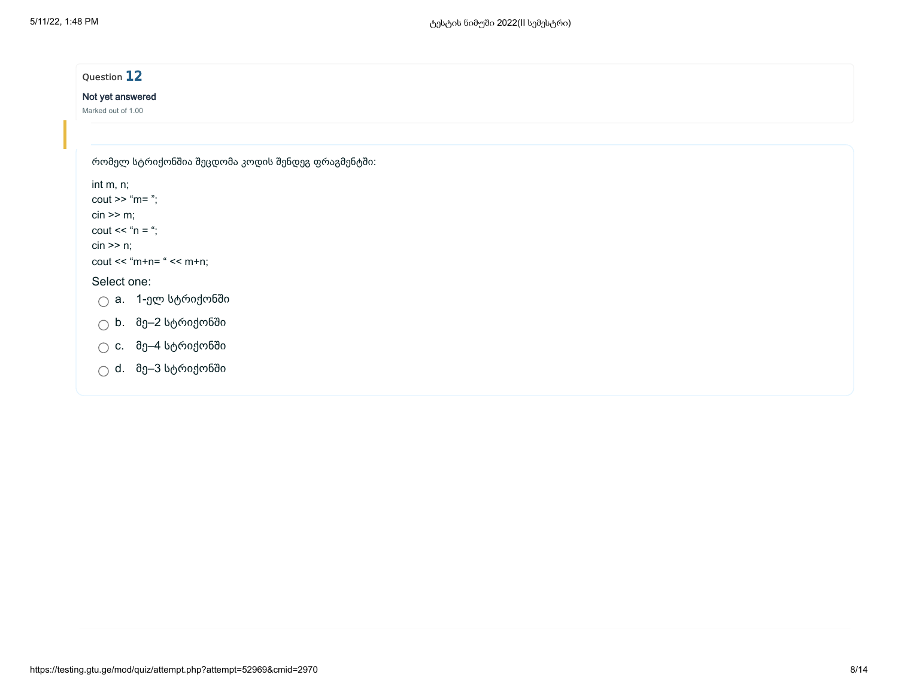| Not yet answered                   |                                                          |  |  |
|------------------------------------|----------------------------------------------------------|--|--|
| Marked out of 1.00                 |                                                          |  |  |
|                                    |                                                          |  |  |
|                                    | რომელ სტრიქონშია შეცდომა კოდის შენდეგ ფრაგმენტში:        |  |  |
| int m, n;                          |                                                          |  |  |
| $\text{cout} \gg \text{``m=''};$   |                                                          |  |  |
| $\sin \geq m$ ;                    |                                                          |  |  |
| $\text{cout} \ll \text{``n = ''};$ |                                                          |  |  |
| $\sin \geq n$ ;                    | $\text{cout} \ll \text{m+n} = \text{``} \ll \text{m+n};$ |  |  |
| Select one:                        |                                                          |  |  |
|                                    | $\bigcirc$ a. 1-ელ სტრიქონში                             |  |  |
|                                    |                                                          |  |  |
|                                    | $\bigcirc$ b. მე–2 სტრიქონში                             |  |  |
| $\bigcirc$                         | c. მე–4 სტრიქონში                                        |  |  |
|                                    | $\bigcirc$ d. მე–3 სტრიქონში                             |  |  |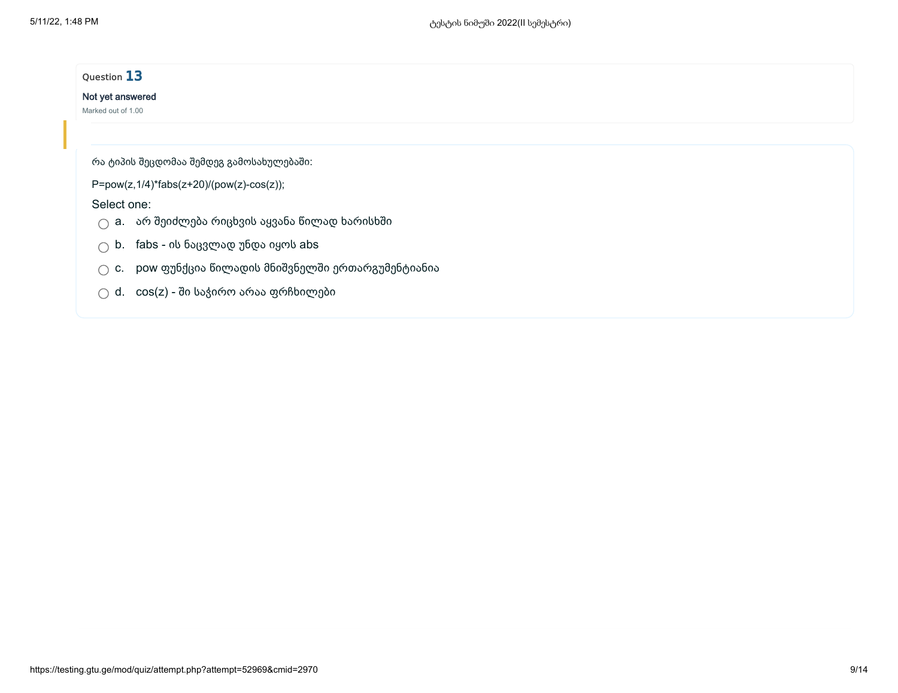| Question 13                                                |  |
|------------------------------------------------------------|--|
| Not yet answered                                           |  |
| Marked out of 1.00                                         |  |
|                                                            |  |
| რა ტიპის შეცდომაა შემდეგ გამოსახულებაში:                   |  |
| P=pow(z,1/4)*fabs(z+20)/(pow(z)-cos(z));                   |  |
| Select one:                                                |  |
| a. არ შეიძლება რიცხვის აყვანა წილად ხარისხში               |  |
| $\bigcirc$ b. fabs - ის ნაცვლად უნდა იყოს abs              |  |
| pow ფუნქცია წილადის მნიშვნელში ერთარგუმენტიანია<br>◯<br>C. |  |
| cos(z) - ში საჭირო არაა ფრჩხილები<br>d.                    |  |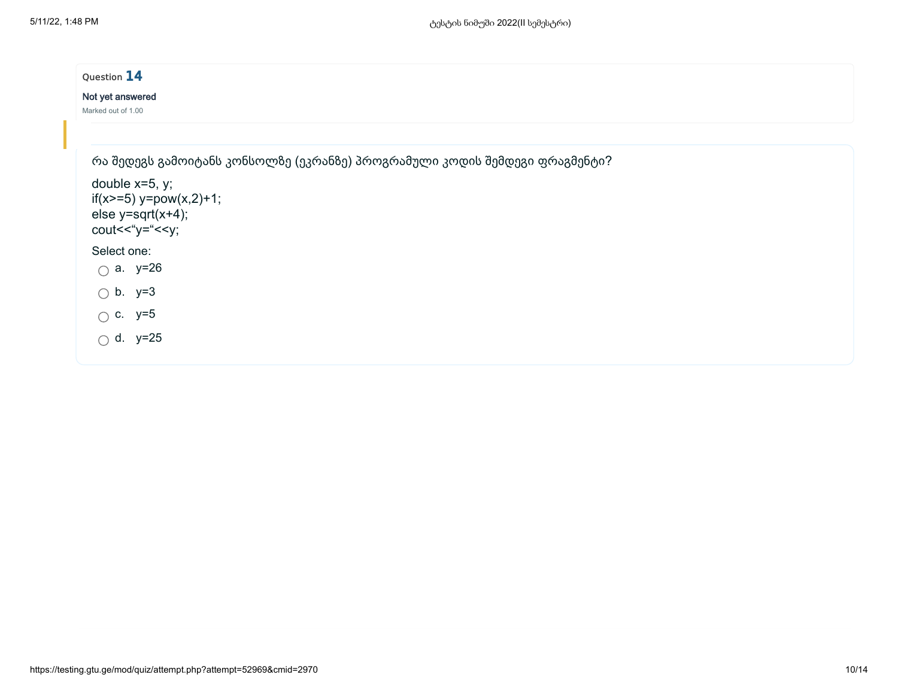| Question 14                                                                                                                                                              |
|--------------------------------------------------------------------------------------------------------------------------------------------------------------------------|
| Not yet answered<br>Marked out of 1.00                                                                                                                                   |
|                                                                                                                                                                          |
| რა შედეგს გამოიტანს კონსოლზე (ეკრანზე) პროგრამული კოდის შემდეგი ფრაგმენტი?<br>double $x=5$ , y;<br>$if(x>=5)$ y=pow(x,2)+1;<br>else $y=sqrt(x+4);$<br>cout << "y=" << y; |
| Select one:<br>$\bigcirc$ a. y=26                                                                                                                                        |
| $\bigcirc$ b. y=3                                                                                                                                                        |
| $\circ$ c. y=5                                                                                                                                                           |
| $\bigcirc$ d. y=25                                                                                                                                                       |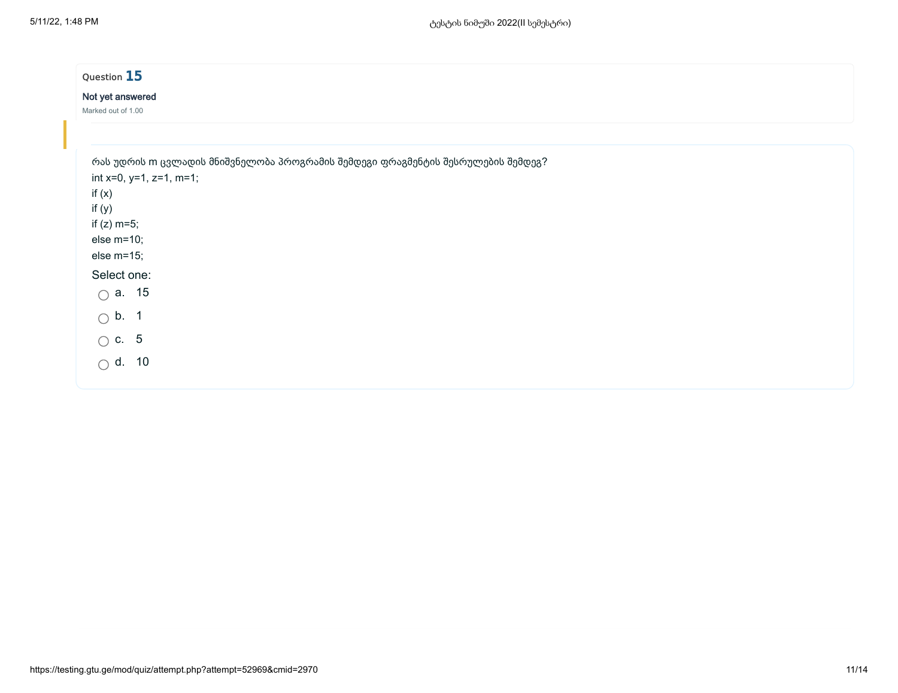| Question 15                                           |  |                                                                                 |  |
|-------------------------------------------------------|--|---------------------------------------------------------------------------------|--|
| Not yet answered<br>Marked out of 1.00                |  |                                                                                 |  |
| int $x=0$ , $y=1$ , $z=1$ , m=1;<br>if $(x)$          |  | რას უდრის m ცვლადის მნიშვნელობა პროგრამის შემდეგი ფრაგმენტის შესრულების შემდეგ? |  |
| if $(y)$<br>if $(z)$ m=5;<br>else m=10;<br>else m=15; |  |                                                                                 |  |
| Select one:<br>$\bigcirc$ a. 15                       |  |                                                                                 |  |
| $\bigcirc$ b. 1<br>$\bigcirc$ c. 5                    |  |                                                                                 |  |
| $\bigcirc$ d. 10                                      |  |                                                                                 |  |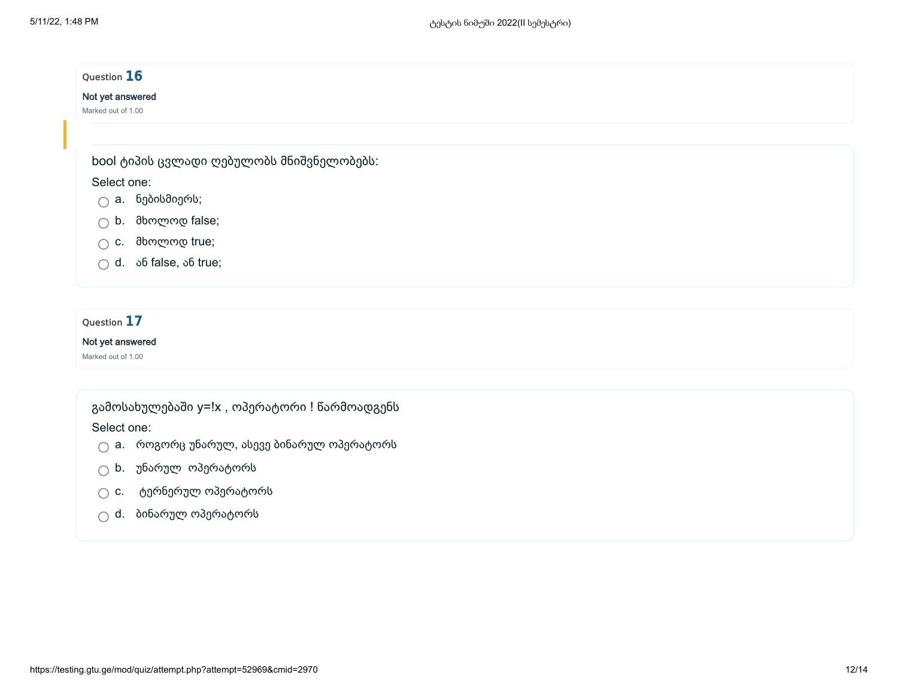# Question 16 Not yet answered Marked out of 1.00 bool ტიპის ცვლადი ღებულობს მნიშვნელობებს: Select one:

- $\bigcap$  a. ნებისმიერს;
- b. მხოლოდ false;
- c. მხოლოდ true;
- $\bigcirc$  d.  $\circ$  of false,  $\circ$  fo true;

## Question 17

### Not yet answered

Marked out of 1.00

## გამოსახულებაში y=!x , ოპერატორი ! წარმოადგენს

### Select one:

- $\bigcirc$  a. როგორც უნარულ, ასევე ბინარულ ოპერატორს
- $\bigcirc$  b. უნარულ ოპერატორს
- $\bigcirc$  c. ტერნერულ ოპერატორს
- $\bigcirc$  d. ბინარულ ოპერატორს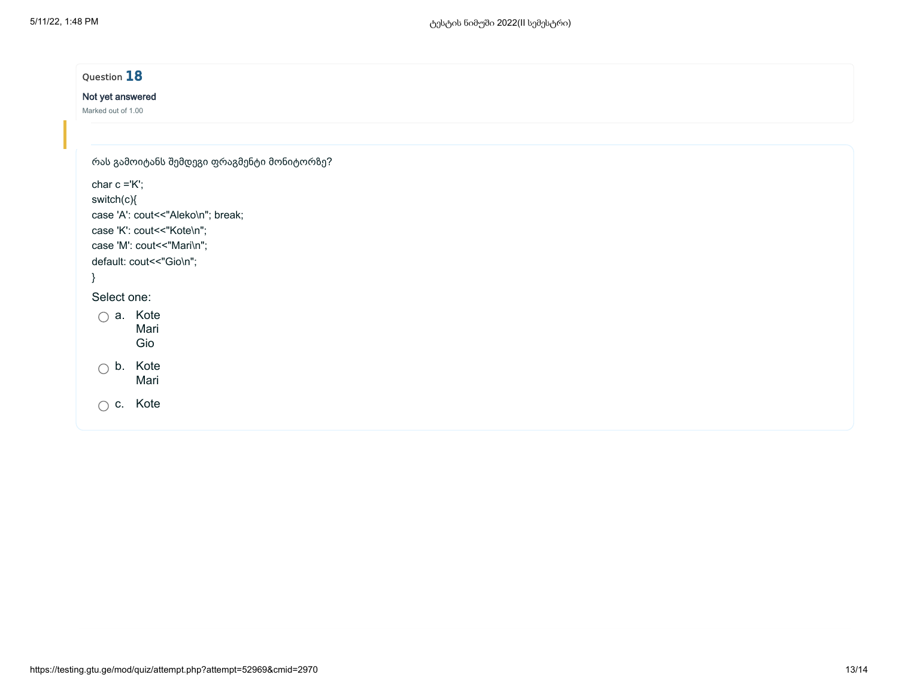| Question 18                                |  |
|--------------------------------------------|--|
| Not yet answered                           |  |
| Marked out of 1.00                         |  |
| რას გამოიტანს შემდეგი ფრაგმენტი მონიტორზე? |  |
| char $c = K$ ;                             |  |
| switch(c){                                 |  |
| case 'A': cout << "Aleko\n"; break;        |  |
| case 'K': cout << "Kote\n";                |  |
| case 'M': cout << "Mari\n";                |  |
| default: cout << "Gio\n";                  |  |
|                                            |  |
| Select one:                                |  |
| $\bigcirc$ a. Kote                         |  |
| Mari                                       |  |
| Gio                                        |  |
| $\bigcirc$ b. Kote                         |  |
| Mari                                       |  |
| $\bigcirc$ c. Kote                         |  |
|                                            |  |